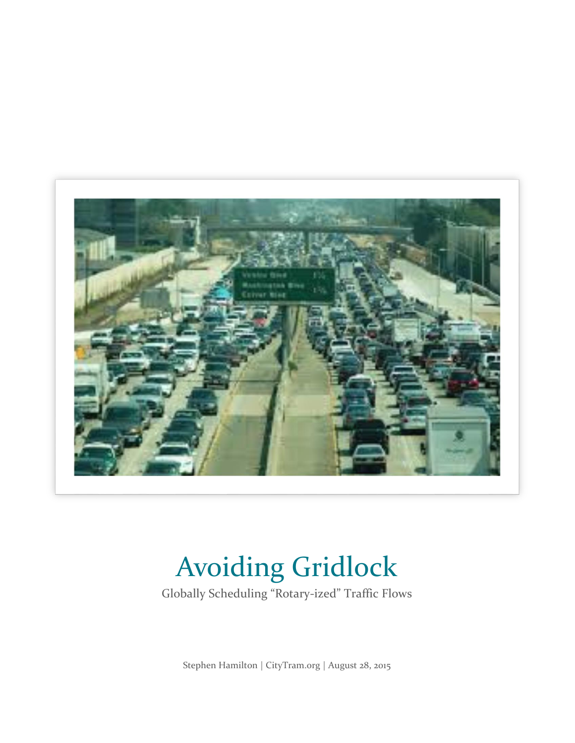

# Avoiding Gridlock

Globally Scheduling "Rotary-ized" Traffic Flows

Stephen Hamilton | CityTram.org | August 28, 2015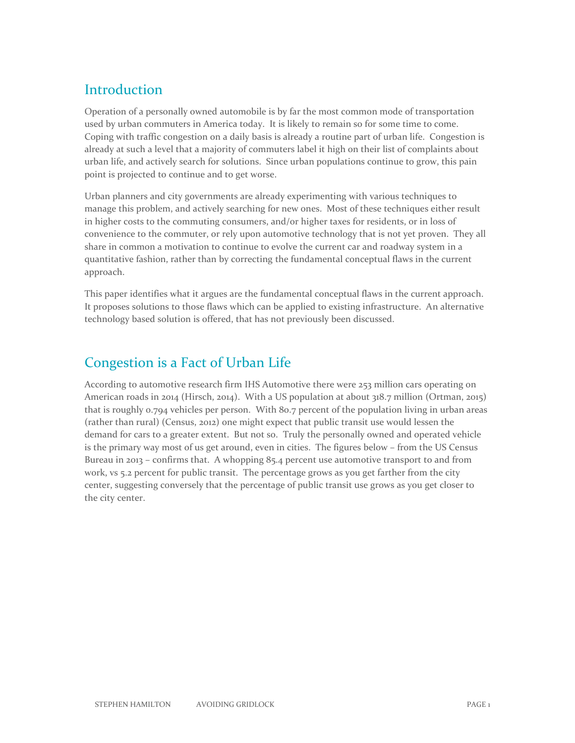# **Introduction**

Operation of a personally owned automobile is by far the most common mode of transportation used by urban commuters in America today. It is likely to remain so for some time to come. Coping with traffic congestion on a daily basis is already a routine part of urban life. Congestion is already at such a level that a majority of commuters label it high on their list of complaints about urban life, and actively search for solutions. Since urban populations continue to grow, this pain point is projected to continue and to get worse.

Urban planners and city governments are already experimenting with various techniques to manage this problem, and actively searching for new ones. Most of these techniques either result in higher costs to the commuting consumers, and/or higher taxes for residents, or in loss of convenience to the commuter, or rely upon automotive technology that is not yet proven. They all share in common a motivation to continue to evolve the current car and roadway system in a quantitative fashion, rather than by correcting the fundamental conceptual flaws in the current approach.

This paper identifies what it argues are the fundamental conceptual flaws in the current approach. It proposes solutions to those flaws which can be applied to existing infrastructure. An alternative technology based solution is offered, that has not previously been discussed.

# Congestion is a Fact of Urban Life

According to automotive research firm IHS Automotive there were 253 million cars operating on American roads in 2014 (Hirsch, 2014). With a US population at about 318.7 million (Ortman, 2015) that is roughly 0.794 vehicles per person. With 80.7 percent of the population living in urban areas (rather than rural) (Census, 2012) one might expect that public transit use would lessen the demand for cars to a greater extent. But not so. Truly the personally owned and operated vehicle is the primary way most of us get around, even in cities. The figures below – from the US Census Bureau in 2013 – confirms that. A whopping 85.4 percent use automotive transport to and from work, vs 5.2 percent for public transit. The percentage grows as you get farther from the city center, suggesting conversely that the percentage of public transit use grows as you get closer to the city center.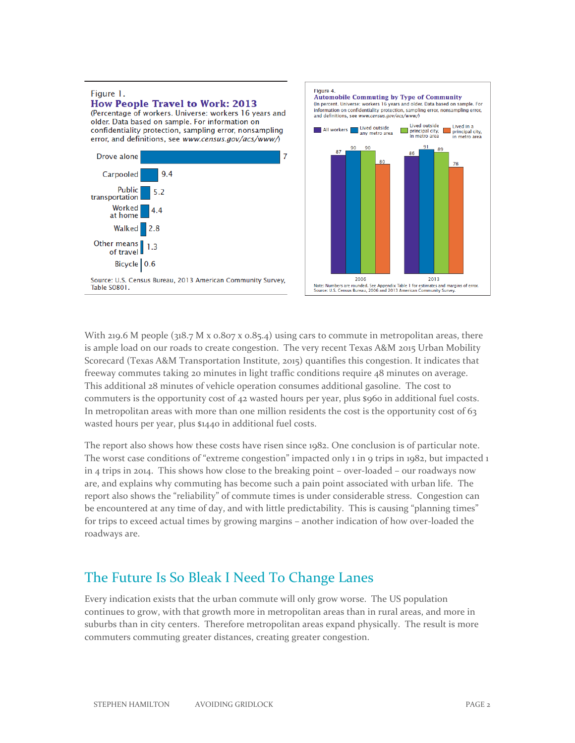

With 219.6 M people ( $318.7$  M x  $0.807$  x  $0.85.4$ ) using cars to commute in metropolitan areas, there is ample load on our roads to create congestion. The very recent Texas A&M 2015 Urban Mobility Scorecard (Texas A&M Transportation Institute, 2015) quantifies this congestion. It indicates that freeway commutes taking 20 minutes in light traffic conditions require 48 minutes on average. This additional 28 minutes of vehicle operation consumes additional gasoline. The cost to commuters is the opportunity cost of 42 wasted hours per year, plus \$960 in additional fuel costs. In metropolitan areas with more than one million residents the cost is the opportunity cost of 63 wasted hours per year, plus \$1440 in additional fuel costs.

The report also shows how these costs have risen since 1982. One conclusion is of particular note. The worst case conditions of "extreme congestion" impacted only 1 in 9 trips in 1982, but impacted 1 in 4 trips in 2014. This shows how close to the breaking point – over-loaded – our roadways now are, and explains why commuting has become such a pain point associated with urban life. The report also shows the "reliability" of commute times is under considerable stress. Congestion can be encountered at any time of day, and with little predictability. This is causing "planning times" for trips to exceed actual times by growing margins – another indication of how over-loaded the roadways are.

## The Future Is So Bleak I Need To Change Lanes

Every indication exists that the urban commute will only grow worse. The US population continues to grow, with that growth more in metropolitan areas than in rural areas, and more in suburbs than in city centers. Therefore metropolitan areas expand physically. The result is more commuters commuting greater distances, creating greater congestion.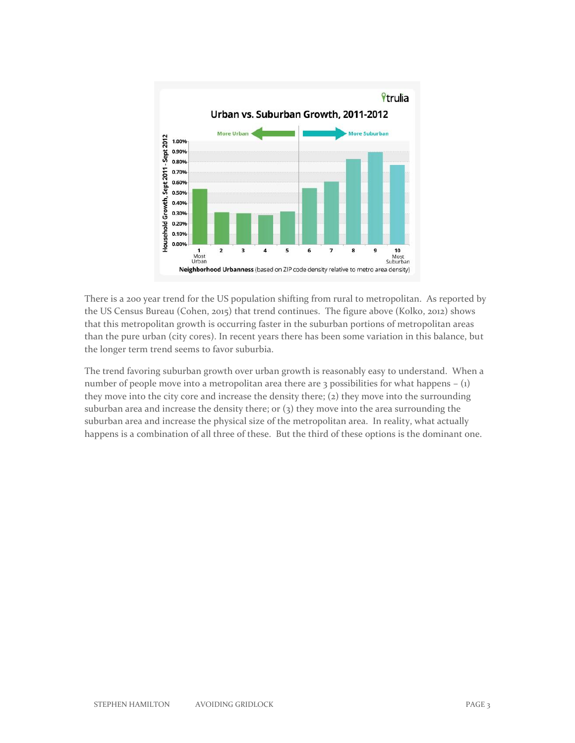

There is a 200 year trend for the US population shifting from rural to metropolitan. As reported by the US Census Bureau (Cohen, 2015) that trend continues. The figure above (Kolko, 2012) shows that this metropolitan growth is occurring faster in the suburban portions of metropolitan areas than the pure urban (city cores). In recent years there has been some variation in this balance, but the longer term trend seems to favor suburbia.

The trend favoring suburban growth over urban growth is reasonably easy to understand. When a number of people move into a metropolitan area there are  $\alpha$  possibilities for what happens – (1) they move into the city core and increase the density there; (2) they move into the surrounding suburban area and increase the density there; or  $(3)$  they move into the area surrounding the suburban area and increase the physical size of the metropolitan area. In reality, what actually happens is a combination of all three of these. But the third of these options is the dominant one.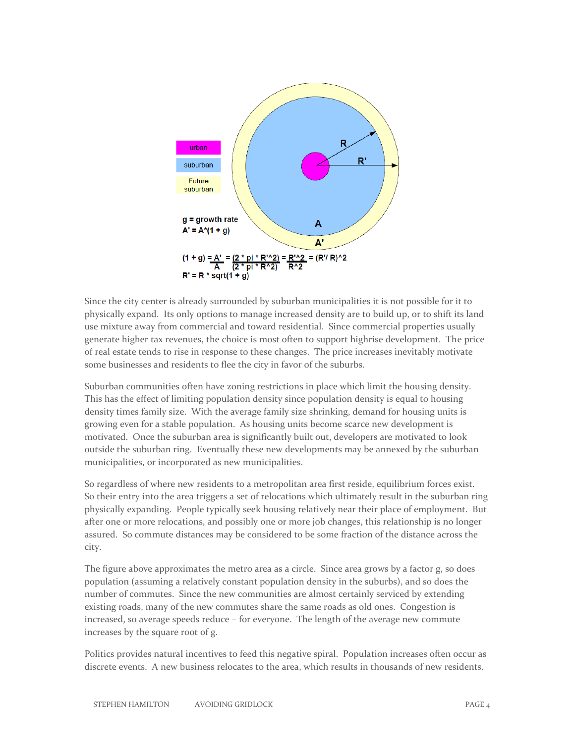

Since the city center is already surrounded by suburban municipalities it is not possible for it to physically expand. Its only options to manage increased density are to build up, or to shift its land use mixture away from commercial and toward residential. Since commercial properties usually generate higher tax revenues, the choice is most often to support highrise development. The price of real estate tends to rise in response to these changes. The price increases inevitably motivate some businesses and residents to flee the city in favor of the suburbs.

Suburban communities often have zoning restrictions in place which limit the housing density. This has the effect of limiting population density since population density is equal to housing density times family size. With the average family size shrinking, demand for housing units is growing even for a stable population. As housing units become scarce new development is motivated. Once the suburban area is significantly built out, developers are motivated to look outside the suburban ring. Eventually these new developments may be annexed by the suburban municipalities, or incorporated as new municipalities.

So regardless of where new residents to a metropolitan area first reside, equilibrium forces exist. So their entry into the area triggers a set of relocations which ultimately result in the suburban ring physically expanding. People typically seek housing relatively near their place of employment. But after one or more relocations, and possibly one or more job changes, this relationship is no longer assured. So commute distances may be considered to be some fraction of the distance across the city.

The figure above approximates the metro area as a circle. Since area grows by a factor g, so does population (assuming a relatively constant population density in the suburbs), and so does the number of commutes. Since the new communities are almost certainly serviced by extending existing roads, many of the new commutes share the same roads as old ones. Congestion is increased, so average speeds reduce – for everyone. The length of the average new commute increases by the square root of g.

Politics provides natural incentives to feed this negative spiral. Population increases often occur as discrete events. A new business relocates to the area, which results in thousands of new residents.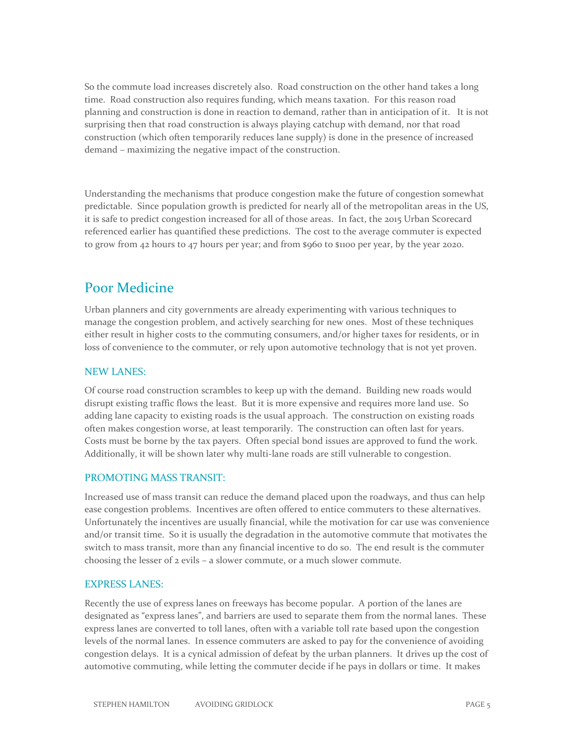So the commute load increases discretely also. Road construction on the other hand takes a long time. Road construction also requires funding, which means taxation. For this reason road planning and construction is done in reaction to demand, rather than in anticipation of it. It is not surprising then that road construction is always playing catchup with demand, nor that road construction (which often temporarily reduces lane supply) is done in the presence of increased demand – maximizing the negative impact of the construction.

Understanding the mechanisms that produce congestion make the future of congestion somewhat predictable. Since population growth is predicted for nearly all of the metropolitan areas in the US, it is safe to predict congestion increased for all of those areas. In fact, the 2015 Urban Scorecard referenced earlier has quantified these predictions. The cost to the average commuter is expected to grow from 42 hours to 47 hours per year; and from \$960 to \$1100 per year, by the year 2020.

## Poor Medicine

Urban planners and city governments are already experimenting with various techniques to manage the congestion problem, and actively searching for new ones. Most of these techniques either result in higher costs to the commuting consumers, and/or higher taxes for residents, or in loss of convenience to the commuter, or rely upon automotive technology that is not yet proven.

#### NEW LANES:

Of course road construction scrambles to keep up with the demand. Building new roads would disrupt existing traffic flows the least. But it is more expensive and requires more land use. So adding lane capacity to existing roads is the usual approach. The construction on existing roads often makes congestion worse, at least temporarily. The construction can often last for years. Costs must be borne by the tax payers. Often special bond issues are approved to fund the work. Additionally, it will be shown later why multi-lane roads are still vulnerable to congestion.

#### PROMOTING MASS TRANSIT:

Increased use of mass transit can reduce the demand placed upon the roadways, and thus can help ease congestion problems. Incentives are often offered to entice commuters to these alternatives. Unfortunately the incentives are usually financial, while the motivation for car use was convenience and/or transit time. So it is usually the degradation in the automotive commute that motivates the switch to mass transit, more than any financial incentive to do so. The end result is the commuter choosing the lesser of 2 evils – a slower commute, or a much slower commute.

#### EXPRESS LANES:

Recently the use of express lanes on freeways has become popular. A portion of the lanes are designated as "express lanes", and barriers are used to separate them from the normal lanes. These express lanes are converted to toll lanes, often with a variable toll rate based upon the congestion levels of the normal lanes. In essence commuters are asked to pay for the convenience of avoiding congestion delays. It is a cynical admission of defeat by the urban planners. It drives up the cost of automotive commuting, while letting the commuter decide if he pays in dollars or time. It makes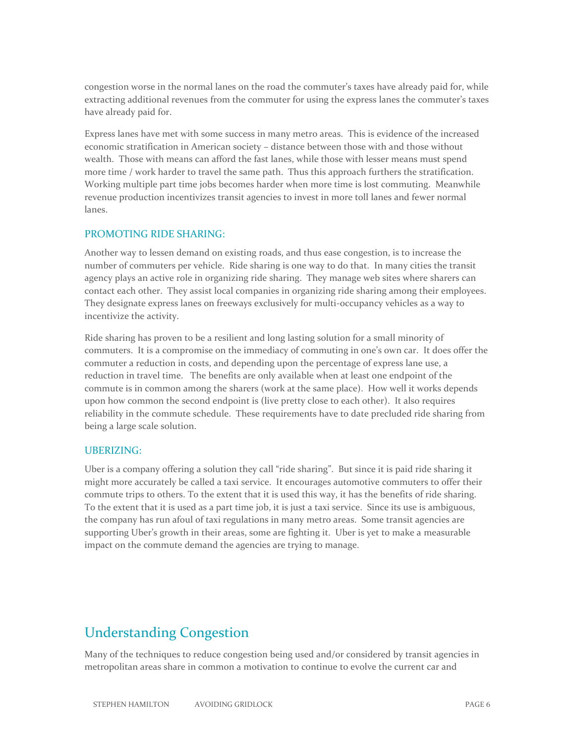congestion worse in the normal lanes on the road the commuter's taxes have already paid for, while extracting additional revenues from the commuter for using the express lanes the commuter's taxes have already paid for.

Express lanes have met with some success in many metro areas. This is evidence of the increased economic stratification in American society – distance between those with and those without wealth. Those with means can afford the fast lanes, while those with lesser means must spend more time / work harder to travel the same path. Thus this approach furthers the stratification. Working multiple part time jobs becomes harder when more time is lost commuting. Meanwhile revenue production incentivizes transit agencies to invest in more toll lanes and fewer normal lanes.

#### PROMOTING RIDE SHARING:

Another way to lessen demand on existing roads, and thus ease congestion, is to increase the number of commuters per vehicle. Ride sharing is one way to do that. In many cities the transit agency plays an active role in organizing ride sharing. They manage web sites where sharers can contact each other. They assist local companies in organizing ride sharing among their employees. They designate express lanes on freeways exclusively for multi-occupancy vehicles as a way to incentivize the activity.

Ride sharing has proven to be a resilient and long lasting solution for a small minority of commuters. It is a compromise on the immediacy of commuting in one's own car. It does offer the commuter a reduction in costs, and depending upon the percentage of express lane use, a reduction in travel time. The benefits are only available when at least one endpoint of the commute is in common among the sharers (work at the same place). How well it works depends upon how common the second endpoint is (live pretty close to each other). It also requires reliability in the commute schedule. These requirements have to date precluded ride sharing from being a large scale solution.

#### UBERIZING:

Uber is a company offering a solution they call "ride sharing". But since it is paid ride sharing it might more accurately be called a taxi service. It encourages automotive commuters to offer their commute trips to others. To the extent that it is used this way, it has the benefits of ride sharing. To the extent that it is used as a part time job, it is just a taxi service. Since its use is ambiguous, the company has run afoul of taxi regulations in many metro areas. Some transit agencies are supporting Uber's growth in their areas, some are fighting it. Uber is yet to make a measurable impact on the commute demand the agencies are trying to manage.

# Understanding Congestion

Many of the techniques to reduce congestion being used and/or considered by transit agencies in metropolitan areas share in common a motivation to continue to evolve the current car and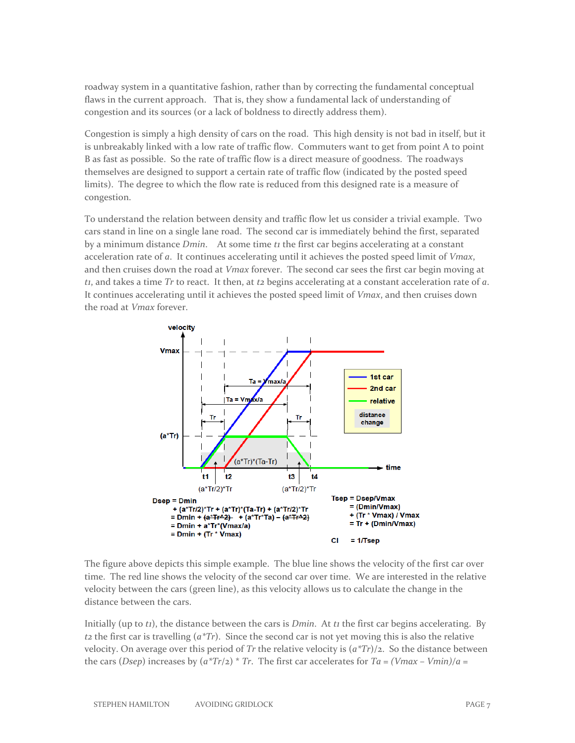roadway system in a quantitative fashion, rather than by correcting the fundamental conceptual flaws in the current approach. That is, they show a fundamental lack of understanding of congestion and its sources (or a lack of boldness to directly address them).

Congestion is simply a high density of cars on the road. This high density is not bad in itself, but it is unbreakably linked with a low rate of traffic flow. Commuters want to get from point A to point B as fast as possible. So the rate of traffic flow is a direct measure of goodness. The roadways themselves are designed to support a certain rate of traffic flow (indicated by the posted speed limits). The degree to which the flow rate is reduced from this designed rate is a measure of congestion.

To understand the relation between density and traffic flow let us consider a trivial example. Two cars stand in line on a single lane road. The second car is immediately behind the first, separated by a minimum distance *Dmin*. At some time *t1* the first car begins accelerating at a constant acceleration rate of *a*. It continues accelerating until it achieves the posted speed limit of *Vmax*, and then cruises down the road at *Vmax* forever. The second car sees the first car begin moving at *t1*, and takes a time *Tr* to react. It then, at *t2* begins accelerating at a constant acceleration rate of *a*. It continues accelerating until it achieves the posted speed limit of *Vmax*, and then cruises down the road at *Vmax* forever.



The figure above depicts this simple example. The blue line shows the velocity of the first car over time. The red line shows the velocity of the second car over time. We are interested in the relative velocity between the cars (green line), as this velocity allows us to calculate the change in the distance between the cars.

Initially (up to *t1*), the distance between the cars is *Dmin*. At *t1* the first car begins accelerating. By *t2* the first car is travelling (*a\*Tr*). Since the second car is not yet moving this is also the relative velocity. On average over this period of *Tr* the relative velocity is (*a\*Tr*)/2. So the distance between the cars (*Dsep*) increases by  $(a^*Tr/2)^*$  *Tr*. The first car accelerates for *Ta* =  $(Vmax - Vmin)/a$  =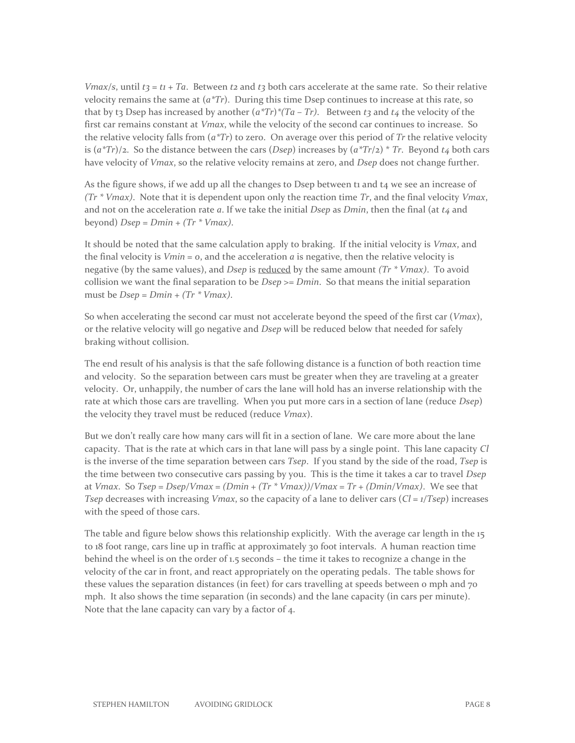*Vmax/s*, until  $t_3 = t_1 + Ta$ . Between  $t_2$  and  $t_3$  both cars accelerate at the same rate. So their relative velocity remains the same at  $(a<sup>*</sup>Tr)$ . During this time Dsep continues to increase at this rate, so that by t3 Dsep has increased by another  $(a^*Tr)^*(Ta - Tr)$ . Between t3 and t4 the velocity of the first car remains constant at *Vmax*, while the velocity of the second car continues to increase. So the relative velocity falls from (*a\*Tr*) to zero. On average over this period of *Tr* the relative velocity is  $(a^*Tr)/2$ . So the distance between the cars (*Dsep*) increases by  $(a^*Tr)/2$   $\bar{r}$ . Beyond *t4* both cars have velocity of *Vmax*, so the relative velocity remains at zero, and *Dsep* does not change further.

As the figure shows, if we add up all the changes to Dsep between t1 and t4 we see an increase of *(Tr \* Vmax)*. Note that it is dependent upon only the reaction time *Tr*, and the final velocity *Vmax*, and not on the acceleration rate *a*. If we take the initial *Dsep* as *Dmin*, then the final (at *t4* and beyond) *Dsep* = *Dmin* + *(Tr \* Vmax)*.

It should be noted that the same calculation apply to braking. If the initial velocity is *Vmax*, and the final velocity is  $Vmin = 0$ , and the acceleration  $a$  is negative, then the relative velocity is negative (by the same values), and *Dsep* is reduced by the same amount *(Tr \* Vmax)*. To avoid collision we want the final separation to be *Dsep >= Dmin*. So that means the initial separation must be *Dsep* = *Dmin* + *(Tr \* Vmax)*.

So when accelerating the second car must not accelerate beyond the speed of the first car (*Vmax*), or the relative velocity will go negative and *Dsep* will be reduced below that needed for safely braking without collision.

The end result of his analysis is that the safe following distance is a function of both reaction time and velocity. So the separation between cars must be greater when they are traveling at a greater velocity. Or, unhappily, the number of cars the lane will hold has an inverse relationship with the rate at which those cars are travelling. When you put more cars in a section of lane (reduce *Dsep*) the velocity they travel must be reduced (reduce *Vmax*).

But we don't really care how many cars will fit in a section of lane. We care more about the lane capacity. That is the rate at which cars in that lane will pass by a single point. This lane capacity *Cl* is the inverse of the time separation between cars *Tsep*. If you stand by the side of the road, *Tsep* is the time between two consecutive cars passing by you. This is the time it takes a car to travel *Dsep* at *Vmax*. So *Tsep = Dsep/Vmax = (Dmin + (Tr \* Vmax))/Vmax = Tr + (Dmin/Vmax)*. We see that *Tsep* decreases with increasing *Vmax*, so the capacity of a lane to deliver cars (*Cl = 1/Tsep*) increases with the speed of those cars.

The table and figure below shows this relationship explicitly. With the average car length in the 15 to 18 foot range, cars line up in traffic at approximately 30 foot intervals. A human reaction time behind the wheel is on the order of 1.5 seconds – the time it takes to recognize a change in the velocity of the car in front, and react appropriately on the operating pedals. The table shows for these values the separation distances (in feet) for cars travelling at speeds between  $\sigma$  mph and  $\tau$ o mph. It also shows the time separation (in seconds) and the lane capacity (in cars per minute). Note that the lane capacity can vary by a factor of 4.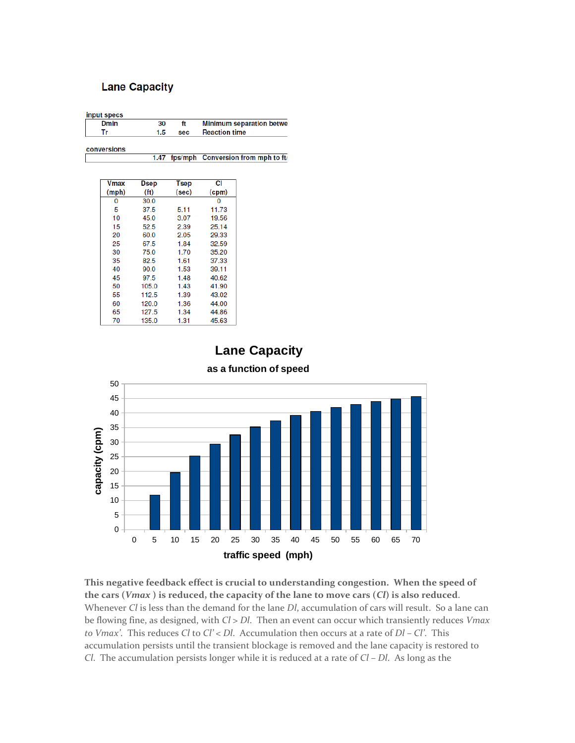#### **Lane Capacity**

| input specs |     |     |                                 |  |
|-------------|-----|-----|---------------------------------|--|
| Dmin        | 30  |     | <b>Minimum separation betwe</b> |  |
|             | 1.5 | sec | <b>Reaction time</b>            |  |
|             |     |     |                                 |  |

conversions

1.47 fps/mph Conversion from mph to ft/

| Vmax  | <b>Dsep</b>       | Tsep  | СI    |
|-------|-------------------|-------|-------|
| (mph) | (f <sub>t</sub> ) | (sec) | (cpm) |
| 0     | 30.0              |       | 0     |
| 5     | 37.5              | 5.11  | 11.73 |
| 10    | 45.0              | 3.07  | 19.56 |
| 15    | 52.5              | 2.39  | 25.14 |
| 20    | 60.0              | 2.05  | 29.33 |
| 25    | 67.5              | 1.84  | 32.59 |
| 30    | 75.0              | 1.70  | 35.20 |
| 35    | 82.5              | 1.61  | 37.33 |
| 40    | 90.0              | 1.53  | 39.11 |
| 45    | 97.5              | 1.48  | 40.62 |
| 50    | 105.0             | 1.43  | 41.90 |
| 55    | 112.5             | 1.39  | 43.02 |
| 60    | 120.0             | 1.36  | 44.00 |
| 65    | 127.5             | 1.34  | 44.86 |
| 70    | 135.0             | 1.31  | 45.63 |

**Lane Capacity**



**as a function of speed**

**This negative feedback effect is crucial to understanding congestion. When the speed of the cars (***Vmax* **) is reduced, the capacity of the lane to move cars (***Cl***) is also reduced**. Whenever *Cl* is less than the demand for the lane *Dl*, accumulation of cars will result. So a lane can be flowing fine, as designed, with *Cl > Dl*. Then an event can occur which transiently reduces *Vmax to Vmax'*. This reduces *Cl* to *Cl' < Dl*. Accumulation then occurs at a rate of *Dl – Cl'*. This accumulation persists until the transient blockage is removed and the lane capacity is restored to *Cl*. The accumulation persists longer while it is reduced at a rate of *Cl – Dl*. As long as the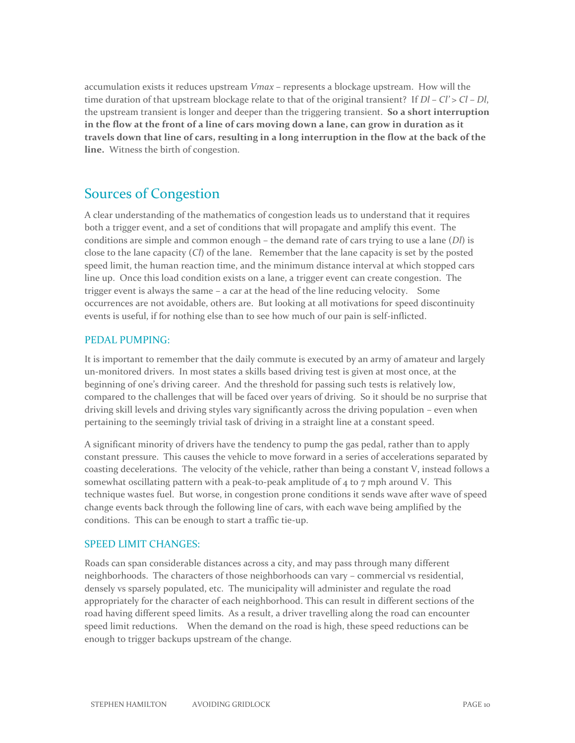accumulation exists it reduces upstream *Vmax –* represents a blockage upstream. How will the time duration of that upstream blockage relate to that of the original transient? If *Dl – Cl' > Cl – Dl*, the upstream transient is longer and deeper than the triggering transient. **So a short interruption in the flow at the front of a line of cars moving down a lane, can grow in duration as it travels down that line of cars, resulting in a long interruption in the flow at the back of the line.** Witness the birth of congestion.

## Sources of Congestion

A clear understanding of the mathematics of congestion leads us to understand that it requires both a trigger event, and a set of conditions that will propagate and amplify this event. The conditions are simple and common enough – the demand rate of cars trying to use a lane (*Dl*) is close to the lane capacity (*Cl*) of the lane. Remember that the lane capacity is set by the posted speed limit, the human reaction time, and the minimum distance interval at which stopped cars line up. Once this load condition exists on a lane, a trigger event can create congestion. The trigger event is always the same – a car at the head of the line reducing velocity. Some occurrences are not avoidable, others are. But looking at all motivations for speed discontinuity events is useful, if for nothing else than to see how much of our pain is self-inflicted.

#### PEDAL PUMPING:

It is important to remember that the daily commute is executed by an army of amateur and largely un-monitored drivers. In most states a skills based driving test is given at most once, at the beginning of one's driving career. And the threshold for passing such tests is relatively low, compared to the challenges that will be faced over years of driving. So it should be no surprise that driving skill levels and driving styles vary significantly across the driving population – even when pertaining to the seemingly trivial task of driving in a straight line at a constant speed.

A significant minority of drivers have the tendency to pump the gas pedal, rather than to apply constant pressure. This causes the vehicle to move forward in a series of accelerations separated by coasting decelerations. The velocity of the vehicle, rather than being a constant V, instead follows a somewhat oscillating pattern with a peak-to-peak amplitude of  $4$  to  $7$  mph around V. This technique wastes fuel. But worse, in congestion prone conditions it sends wave after wave of speed change events back through the following line of cars, with each wave being amplified by the conditions. This can be enough to start a traffic tie-up.

#### SPEED LIMIT CHANGES:

Roads can span considerable distances across a city, and may pass through many different neighborhoods. The characters of those neighborhoods can vary – commercial vs residential, densely vs sparsely populated, etc. The municipality will administer and regulate the road appropriately for the character of each neighborhood. This can result in different sections of the road having different speed limits. As a result, a driver travelling along the road can encounter speed limit reductions. When the demand on the road is high, these speed reductions can be enough to trigger backups upstream of the change.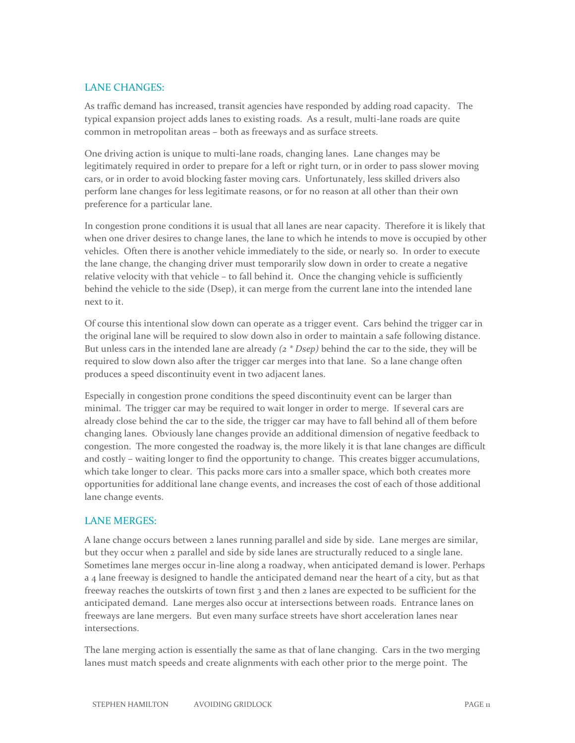#### LANE CHANGES:

As traffic demand has increased, transit agencies have responded by adding road capacity. The typical expansion project adds lanes to existing roads. As a result, multi-lane roads are quite common in metropolitan areas – both as freeways and as surface streets.

One driving action is unique to multi-lane roads, changing lanes. Lane changes may be legitimately required in order to prepare for a left or right turn, or in order to pass slower moving cars, or in order to avoid blocking faster moving cars. Unfortunately, less skilled drivers also perform lane changes for less legitimate reasons, or for no reason at all other than their own preference for a particular lane.

In congestion prone conditions it is usual that all lanes are near capacity. Therefore it is likely that when one driver desires to change lanes, the lane to which he intends to move is occupied by other vehicles. Often there is another vehicle immediately to the side, or nearly so. In order to execute the lane change, the changing driver must temporarily slow down in order to create a negative relative velocity with that vehicle – to fall behind it. Once the changing vehicle is sufficiently behind the vehicle to the side (Dsep), it can merge from the current lane into the intended lane next to it.

Of course this intentional slow down can operate as a trigger event. Cars behind the trigger car in the original lane will be required to slow down also in order to maintain a safe following distance. But unless cars in the intended lane are already *(2 \* Dsep)* behind the car to the side, they will be required to slow down also after the trigger car merges into that lane. So a lane change often produces a speed discontinuity event in two adjacent lanes.

Especially in congestion prone conditions the speed discontinuity event can be larger than minimal. The trigger car may be required to wait longer in order to merge. If several cars are already close behind the car to the side, the trigger car may have to fall behind all of them before changing lanes. Obviously lane changes provide an additional dimension of negative feedback to congestion. The more congested the roadway is, the more likely it is that lane changes are difficult and costly – waiting longer to find the opportunity to change. This creates bigger accumulations, which take longer to clear. This packs more cars into a smaller space, which both creates more opportunities for additional lane change events, and increases the cost of each of those additional lane change events.

#### LANE MERGES:

A lane change occurs between 2 lanes running parallel and side by side. Lane merges are similar, but they occur when 2 parallel and side by side lanes are structurally reduced to a single lane. Sometimes lane merges occur in-line along a roadway, when anticipated demand is lower. Perhaps a 4 lane freeway is designed to handle the anticipated demand near the heart of a city, but as that freeway reaches the outskirts of town first 3 and then 2 lanes are expected to be sufficient for the anticipated demand. Lane merges also occur at intersections between roads. Entrance lanes on freeways are lane mergers. But even many surface streets have short acceleration lanes near intersections.

The lane merging action is essentially the same as that of lane changing. Cars in the two merging lanes must match speeds and create alignments with each other prior to the merge point. The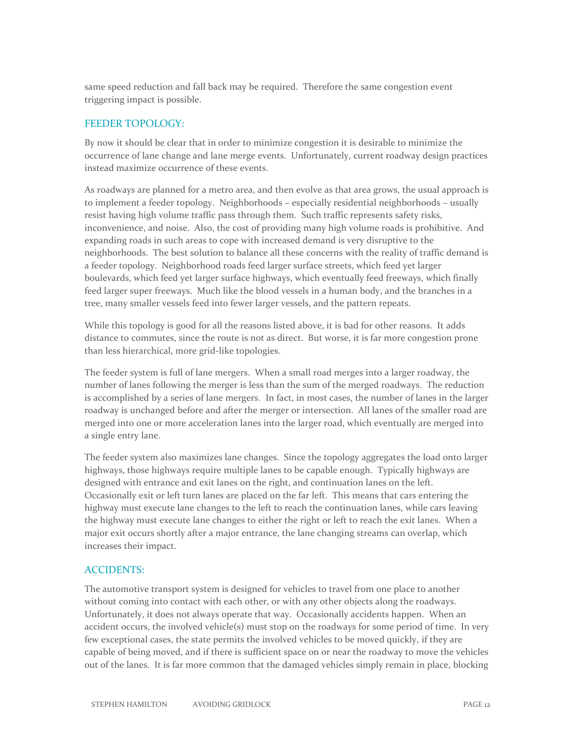same speed reduction and fall back may be required. Therefore the same congestion event triggering impact is possible.

#### FEEDER TOPOLOGY:

By now it should be clear that in order to minimize congestion it is desirable to minimize the occurrence of lane change and lane merge events. Unfortunately, current roadway design practices instead maximize occurrence of these events.

As roadways are planned for a metro area, and then evolve as that area grows, the usual approach is to implement a feeder topology. Neighborhoods – especially residential neighborhoods – usually resist having high volume traffic pass through them. Such traffic represents safety risks, inconvenience, and noise. Also, the cost of providing many high volume roads is prohibitive. And expanding roads in such areas to cope with increased demand is very disruptive to the neighborhoods. The best solution to balance all these concerns with the reality of traffic demand is a feeder topology. Neighborhood roads feed larger surface streets, which feed yet larger boulevards, which feed yet larger surface highways, which eventually feed freeways, which finally feed larger super freeways. Much like the blood vessels in a human body, and the branches in a tree, many smaller vessels feed into fewer larger vessels, and the pattern repeats.

While this topology is good for all the reasons listed above, it is bad for other reasons. It adds distance to commutes, since the route is not as direct. But worse, it is far more congestion prone than less hierarchical, more grid-like topologies.

The feeder system is full of lane mergers. When a small road merges into a larger roadway, the number of lanes following the merger is less than the sum of the merged roadways. The reduction is accomplished by a series of lane mergers. In fact, in most cases, the number of lanes in the larger roadway is unchanged before and after the merger or intersection. All lanes of the smaller road are merged into one or more acceleration lanes into the larger road, which eventually are merged into a single entry lane.

The feeder system also maximizes lane changes. Since the topology aggregates the load onto larger highways, those highways require multiple lanes to be capable enough. Typically highways are designed with entrance and exit lanes on the right, and continuation lanes on the left. Occasionally exit or left turn lanes are placed on the far left. This means that cars entering the highway must execute lane changes to the left to reach the continuation lanes, while cars leaving the highway must execute lane changes to either the right or left to reach the exit lanes. When a major exit occurs shortly after a major entrance, the lane changing streams can overlap, which increases their impact.

#### ACCIDENTS:

The automotive transport system is designed for vehicles to travel from one place to another without coming into contact with each other, or with any other objects along the roadways. Unfortunately, it does not always operate that way. Occasionally accidents happen. When an accident occurs, the involved vehicle(s) must stop on the roadways for some period of time. In very few exceptional cases, the state permits the involved vehicles to be moved quickly, if they are capable of being moved, and if there is sufficient space on or near the roadway to move the vehicles out of the lanes. It is far more common that the damaged vehicles simply remain in place, blocking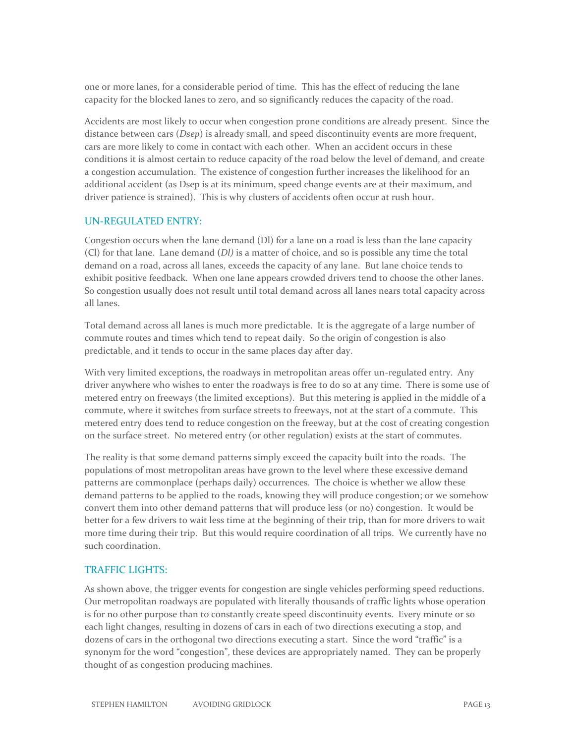one or more lanes, for a considerable period of time. This has the effect of reducing the lane capacity for the blocked lanes to zero, and so significantly reduces the capacity of the road.

Accidents are most likely to occur when congestion prone conditions are already present. Since the distance between cars (*Dsep*) is already small, and speed discontinuity events are more frequent, cars are more likely to come in contact with each other. When an accident occurs in these conditions it is almost certain to reduce capacity of the road below the level of demand, and create a congestion accumulation. The existence of congestion further increases the likelihood for an additional accident (as Dsep is at its minimum, speed change events are at their maximum, and driver patience is strained). This is why clusters of accidents often occur at rush hour.

#### UN-REGULATED ENTRY:

Congestion occurs when the lane demand (Dl) for a lane on a road is less than the lane capacity (Cl) for that lane. Lane demand (*Dl)* is a matter of choice, and so is possible any time the total demand on a road, across all lanes, exceeds the capacity of any lane. But lane choice tends to exhibit positive feedback. When one lane appears crowded drivers tend to choose the other lanes. So congestion usually does not result until total demand across all lanes nears total capacity across all lanes.

Total demand across all lanes is much more predictable. It is the aggregate of a large number of commute routes and times which tend to repeat daily. So the origin of congestion is also predictable, and it tends to occur in the same places day after day.

With very limited exceptions, the roadways in metropolitan areas offer un-regulated entry. Any driver anywhere who wishes to enter the roadways is free to do so at any time. There is some use of metered entry on freeways (the limited exceptions). But this metering is applied in the middle of a commute, where it switches from surface streets to freeways, not at the start of a commute. This metered entry does tend to reduce congestion on the freeway, but at the cost of creating congestion on the surface street. No metered entry (or other regulation) exists at the start of commutes.

The reality is that some demand patterns simply exceed the capacity built into the roads. The populations of most metropolitan areas have grown to the level where these excessive demand patterns are commonplace (perhaps daily) occurrences. The choice is whether we allow these demand patterns to be applied to the roads, knowing they will produce congestion; or we somehow convert them into other demand patterns that will produce less (or no) congestion. It would be better for a few drivers to wait less time at the beginning of their trip, than for more drivers to wait more time during their trip. But this would require coordination of all trips. We currently have no such coordination.

#### TRAFFIC LIGHTS:

As shown above, the trigger events for congestion are single vehicles performing speed reductions. Our metropolitan roadways are populated with literally thousands of traffic lights whose operation is for no other purpose than to constantly create speed discontinuity events. Every minute or so each light changes, resulting in dozens of cars in each of two directions executing a stop, and dozens of cars in the orthogonal two directions executing a start. Since the word "traffic" is a synonym for the word "congestion", these devices are appropriately named. They can be properly thought of as congestion producing machines.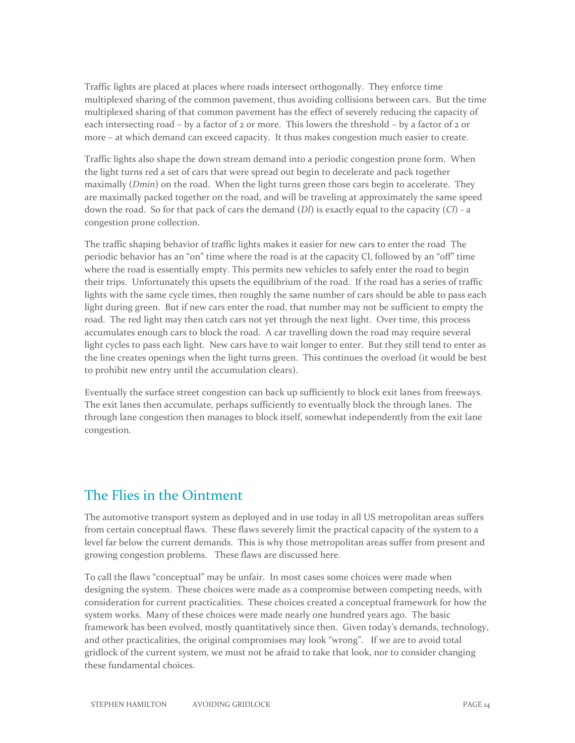Traffic lights are placed at places where roads intersect orthogonally. They enforce time multiplexed sharing of the common pavement, thus avoiding collisions between cars. But the time multiplexed sharing of that common pavement has the effect of severely reducing the capacity of each intersecting road – by a factor of  $2$  or more. This lowers the threshold – by a factor of  $2$  or more – at which demand can exceed capacity. It thus makes congestion much easier to create.

Traffic lights also shape the down stream demand into a periodic congestion prone form. When the light turns red a set of cars that were spread out begin to decelerate and pack together maximally (*Dmin*) on the road. When the light turns green those cars begin to accelerate. They are maximally packed together on the road, and will be traveling at approximately the same speed down the road. So for that pack of cars the demand (*Dl*) is exactly equal to the capacity (*Cl*) - a congestion prone collection.

The traffic shaping behavior of traffic lights makes it easier for new cars to enter the road The periodic behavior has an "on" time where the road is at the capacity Cl, followed by an "off" time where the road is essentially empty. This permits new vehicles to safely enter the road to begin their trips. Unfortunately this upsets the equilibrium of the road. If the road has a series of traffic lights with the same cycle times, then roughly the same number of cars should be able to pass each light during green. But if new cars enter the road, that number may not be sufficient to empty the road. The red light may then catch cars not yet through the next light. Over time, this process accumulates enough cars to block the road. A car travelling down the road may require several light cycles to pass each light. New cars have to wait longer to enter. But they still tend to enter as the line creates openings when the light turns green. This continues the overload (it would be best to prohibit new entry until the accumulation clears).

Eventually the surface street congestion can back up sufficiently to block exit lanes from freeways. The exit lanes then accumulate, perhaps sufficiently to eventually block the through lanes. The through lane congestion then manages to block itself, somewhat independently from the exit lane congestion.

### The Flies in the Ointment

The automotive transport system as deployed and in use today in all US metropolitan areas suffers from certain conceptual flaws. These flaws severely limit the practical capacity of the system to a level far below the current demands. This is why those metropolitan areas suffer from present and growing congestion problems. These flaws are discussed here.

To call the flaws "conceptual" may be unfair. In most cases some choices were made when designing the system. These choices were made as a compromise between competing needs, with consideration for current practicalities. These choices created a conceptual framework for how the system works. Many of these choices were made nearly one hundred years ago. The basic framework has been evolved, mostly quantitatively since then. Given today's demands, technology, and other practicalities, the original compromises may look "wrong". If we are to avoid total gridlock of the current system, we must not be afraid to take that look, nor to consider changing these fundamental choices.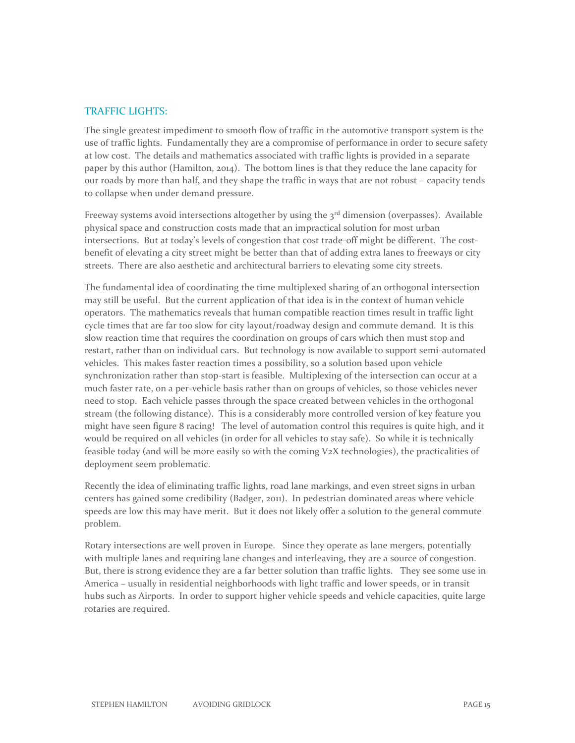#### TRAFFIC LIGHTS:

The single greatest impediment to smooth flow of traffic in the automotive transport system is the use of traffic lights. Fundamentally they are a compromise of performance in order to secure safety at low cost. The details and mathematics associated with traffic lights is provided in a separate paper by this author (Hamilton, 2014). The bottom lines is that they reduce the lane capacity for our roads by more than half, and they shape the traffic in ways that are not robust – capacity tends to collapse when under demand pressure.

Freeway systems avoid intersections altogether by using the  $3<sup>rd</sup>$  dimension (overpasses). Available physical space and construction costs made that an impractical solution for most urban intersections. But at today's levels of congestion that cost trade-off might be different. The costbenefit of elevating a city street might be better than that of adding extra lanes to freeways or city streets. There are also aesthetic and architectural barriers to elevating some city streets.

The fundamental idea of coordinating the time multiplexed sharing of an orthogonal intersection may still be useful. But the current application of that idea is in the context of human vehicle operators. The mathematics reveals that human compatible reaction times result in traffic light cycle times that are far too slow for city layout/roadway design and commute demand. It is this slow reaction time that requires the coordination on groups of cars which then must stop and restart, rather than on individual cars. But technology is now available to support semi-automated vehicles. This makes faster reaction times a possibility, so a solution based upon vehicle synchronization rather than stop-start is feasible. Multiplexing of the intersection can occur at a much faster rate, on a per-vehicle basis rather than on groups of vehicles, so those vehicles never need to stop. Each vehicle passes through the space created between vehicles in the orthogonal stream (the following distance). This is a considerably more controlled version of key feature you might have seen figure 8 racing! The level of automation control this requires is quite high, and it would be required on all vehicles (in order for all vehicles to stay safe). So while it is technically feasible today (and will be more easily so with the coming V2X technologies), the practicalities of deployment seem problematic.

Recently the idea of eliminating traffic lights, road lane markings, and even street signs in urban centers has gained some credibility (Badger, 2011). In pedestrian dominated areas where vehicle speeds are low this may have merit. But it does not likely offer a solution to the general commute problem.

Rotary intersections are well proven in Europe. Since they operate as lane mergers, potentially with multiple lanes and requiring lane changes and interleaving, they are a source of congestion. But, there is strong evidence they are a far better solution than traffic lights. They see some use in America – usually in residential neighborhoods with light traffic and lower speeds, or in transit hubs such as Airports. In order to support higher vehicle speeds and vehicle capacities, quite large rotaries are required.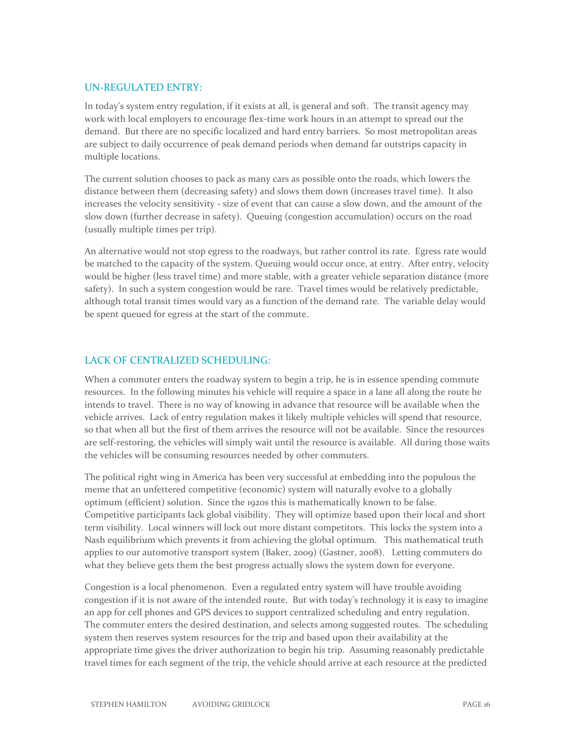#### UN-REGULATED ENTRY:

In today's system entry regulation, if it exists at all, is general and soft. The transit agency may work with local employers to encourage flex-time work hours in an attempt to spread out the demand. But there are no specific localized and hard entry barriers. So most metropolitan areas are subject to daily occurrence of peak demand periods when demand far outstrips capacity in multiple locations.

The current solution chooses to pack as many cars as possible onto the roads, which lowers the distance between them (decreasing safety) and slows them down (increases travel time). It also increases the velocity sensitivity - size of event that can cause a slow down, and the amount of the slow down (further decrease in safety). Queuing (congestion accumulation) occurs on the road (usually multiple times per trip).

An alternative would not stop egress to the roadways, but rather control its rate. Egress rate would be matched to the capacity of the system. Queuing would occur once, at entry. After entry, velocity would be higher (less travel time) and more stable, with a greater vehicle separation distance (more safety). In such a system congestion would be rare. Travel times would be relatively predictable, although total transit times would vary as a function of the demand rate. The variable delay would be spent queued for egress at the start of the commute.

#### LACK OF CENTRALIZED SCHEDULING:

When a commuter enters the roadway system to begin a trip, he is in essence spending commute resources. In the following minutes his vehicle will require a space in a lane all along the route he intends to travel. There is no way of knowing in advance that resource will be available when the vehicle arrives. Lack of entry regulation makes it likely multiple vehicles will spend that resource, so that when all but the first of them arrives the resource will not be available. Since the resources are self-restoring, the vehicles will simply wait until the resource is available. All during those waits the vehicles will be consuming resources needed by other commuters.

The political right wing in America has been very successful at embedding into the populous the meme that an unfettered competitive (economic) system will naturally evolve to a globally optimum (efficient) solution. Since the 1920s this is mathematically known to be false. Competitive participants lack global visibility. They will optimize based upon their local and short term visibility. Local winners will lock out more distant competitors. This locks the system into a Nash equilibrium which prevents it from achieving the global optimum. This mathematical truth applies to our automotive transport system (Baker, 2009) (Gastner, 2008). Letting commuters do what they believe gets them the best progress actually slows the system down for everyone.

Congestion is a local phenomenon. Even a regulated entry system will have trouble avoiding congestion if it is not aware of the intended route. But with today's technology it is easy to imagine an app for cell phones and GPS devices to support centralized scheduling and entry regulation. The commuter enters the desired destination, and selects among suggested routes. The scheduling system then reserves system resources for the trip and based upon their availability at the appropriate time gives the driver authorization to begin his trip. Assuming reasonably predictable travel times for each segment of the trip, the vehicle should arrive at each resource at the predicted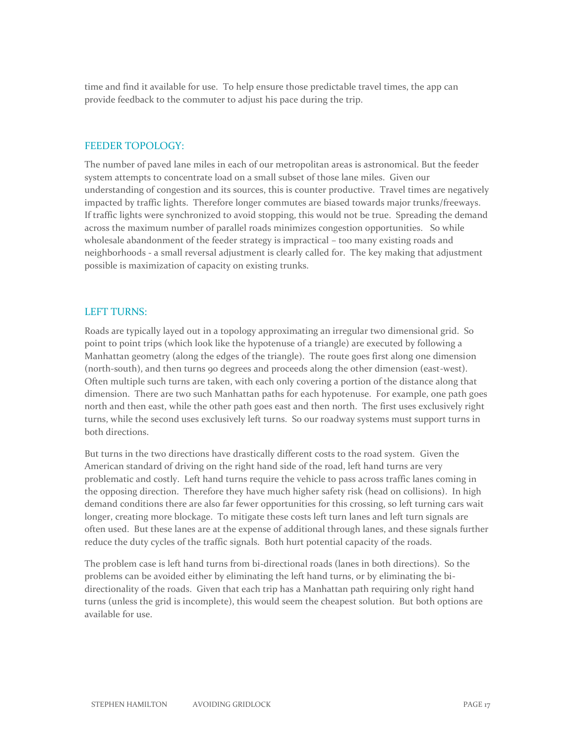time and find it available for use. To help ensure those predictable travel times, the app can provide feedback to the commuter to adjust his pace during the trip.

#### FEEDER TOPOLOGY:

The number of paved lane miles in each of our metropolitan areas is astronomical. But the feeder system attempts to concentrate load on a small subset of those lane miles. Given our understanding of congestion and its sources, this is counter productive. Travel times are negatively impacted by traffic lights. Therefore longer commutes are biased towards major trunks/freeways. If traffic lights were synchronized to avoid stopping, this would not be true. Spreading the demand across the maximum number of parallel roads minimizes congestion opportunities. So while wholesale abandonment of the feeder strategy is impractical – too many existing roads and neighborhoods - a small reversal adjustment is clearly called for. The key making that adjustment possible is maximization of capacity on existing trunks.

#### LEFT TURNS:

Roads are typically layed out in a topology approximating an irregular two dimensional grid. So point to point trips (which look like the hypotenuse of a triangle) are executed by following a Manhattan geometry (along the edges of the triangle). The route goes first along one dimension (north-south), and then turns 90 degrees and proceeds along the other dimension (east-west). Often multiple such turns are taken, with each only covering a portion of the distance along that dimension. There are two such Manhattan paths for each hypotenuse. For example, one path goes north and then east, while the other path goes east and then north. The first uses exclusively right turns, while the second uses exclusively left turns. So our roadway systems must support turns in both directions.

But turns in the two directions have drastically different costs to the road system. Given the American standard of driving on the right hand side of the road, left hand turns are very problematic and costly. Left hand turns require the vehicle to pass across traffic lanes coming in the opposing direction. Therefore they have much higher safety risk (head on collisions). In high demand conditions there are also far fewer opportunities for this crossing, so left turning cars wait longer, creating more blockage. To mitigate these costs left turn lanes and left turn signals are often used. But these lanes are at the expense of additional through lanes, and these signals further reduce the duty cycles of the traffic signals. Both hurt potential capacity of the roads.

The problem case is left hand turns from bi-directional roads (lanes in both directions). So the problems can be avoided either by eliminating the left hand turns, or by eliminating the bidirectionality of the roads. Given that each trip has a Manhattan path requiring only right hand turns (unless the grid is incomplete), this would seem the cheapest solution. But both options are available for use.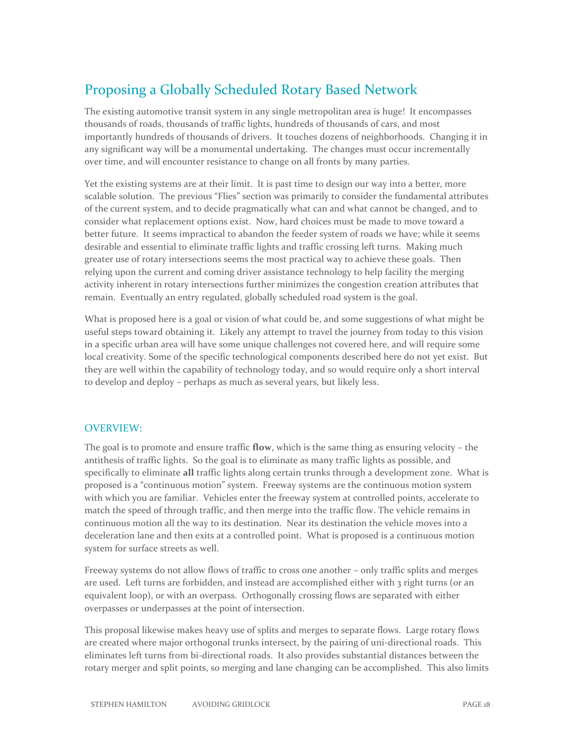# Proposing a Globally Scheduled Rotary Based Network

The existing automotive transit system in any single metropolitan area is huge! It encompasses thousands of roads, thousands of traffic lights, hundreds of thousands of cars, and most importantly hundreds of thousands of drivers. It touches dozens of neighborhoods. Changing it in any significant way will be a monumental undertaking. The changes must occur incrementally over time, and will encounter resistance to change on all fronts by many parties.

Yet the existing systems are at their limit. It is past time to design our way into a better, more scalable solution. The previous "Flies" section was primarily to consider the fundamental attributes of the current system, and to decide pragmatically what can and what cannot be changed, and to consider what replacement options exist. Now, hard choices must be made to move toward a better future. It seems impractical to abandon the feeder system of roads we have; while it seems desirable and essential to eliminate traffic lights and traffic crossing left turns. Making much greater use of rotary intersections seems the most practical way to achieve these goals. Then relying upon the current and coming driver assistance technology to help facility the merging activity inherent in rotary intersections further minimizes the congestion creation attributes that remain. Eventually an entry regulated, globally scheduled road system is the goal.

What is proposed here is a goal or vision of what could be, and some suggestions of what might be useful steps toward obtaining it. Likely any attempt to travel the journey from today to this vision in a specific urban area will have some unique challenges not covered here, and will require some local creativity. Some of the specific technological components described here do not yet exist. But they are well within the capability of technology today, and so would require only a short interval to develop and deploy – perhaps as much as several years, but likely less.

#### OVERVIEW:

The goal is to promote and ensure traffic **flow**, which is the same thing as ensuring velocity – the antithesis of traffic lights. So the goal is to eliminate as many traffic lights as possible, and specifically to eliminate **all** traffic lights along certain trunks through a development zone. What is proposed is a "continuous motion" system. Freeway systems are the continuous motion system with which you are familiar. Vehicles enter the freeway system at controlled points, accelerate to match the speed of through traffic, and then merge into the traffic flow. The vehicle remains in continuous motion all the way to its destination. Near its destination the vehicle moves into a deceleration lane and then exits at a controlled point. What is proposed is a continuous motion system for surface streets as well.

Freeway systems do not allow flows of traffic to cross one another – only traffic splits and merges are used. Left turns are forbidden, and instead are accomplished either with 3 right turns (or an equivalent loop), or with an overpass. Orthogonally crossing flows are separated with either overpasses or underpasses at the point of intersection.

This proposal likewise makes heavy use of splits and merges to separate flows. Large rotary flows are created where major orthogonal trunks intersect, by the pairing of uni-directional roads. This eliminates left turns from bi-directional roads. It also provides substantial distances between the rotary merger and split points, so merging and lane changing can be accomplished. This also limits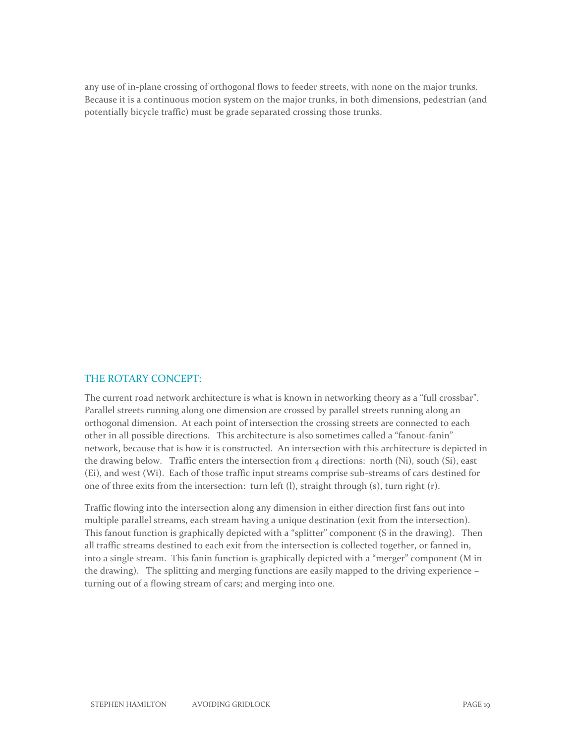any use of in-plane crossing of orthogonal flows to feeder streets, with none on the major trunks. Because it is a continuous motion system on the major trunks, in both dimensions, pedestrian (and potentially bicycle traffic) must be grade separated crossing those trunks.

#### THE ROTARY CONCEPT:

The current road network architecture is what is known in networking theory as a "full crossbar". Parallel streets running along one dimension are crossed by parallel streets running along an orthogonal dimension. At each point of intersection the crossing streets are connected to each other in all possible directions. This architecture is also sometimes called a "fanout-fanin" network, because that is how it is constructed. An intersection with this architecture is depicted in the drawing below. Traffic enters the intersection from  $4$  directions: north (Ni), south (Si), east (Ei), and west (Wi). Each of those traffic input streams comprise sub-streams of cars destined for one of three exits from the intersection: turn left (l), straight through (s), turn right (r).

Traffic flowing into the intersection along any dimension in either direction first fans out into multiple parallel streams, each stream having a unique destination (exit from the intersection). This fanout function is graphically depicted with a "splitter" component (S in the drawing). Then all traffic streams destined to each exit from the intersection is collected together, or fanned in, into a single stream. This fanin function is graphically depicted with a "merger" component (M in the drawing). The splitting and merging functions are easily mapped to the driving experience – turning out of a flowing stream of cars; and merging into one.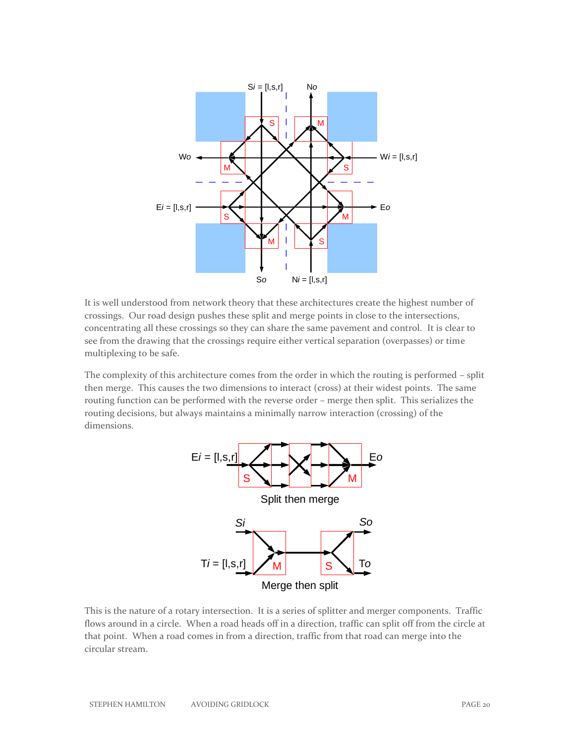

It is well understood from network theory that these architectures create the highest number of crossings. Our road design pushes these split and merge points in close to the intersections, concentrating all these crossings so they can share the same pavement and control. It is clear to see from the drawing that the crossings require either vertical separation (overpasses) or time multiplexing to be safe.

The complexity of this architecture comes from the order in which the routing is performed – split then merge. This causes the two dimensions to interact (cross) at their widest points. The same routing function can be performed with the reverse order – merge then split. This serializes the routing decisions, but always maintains a minimally narrow interaction (crossing) of the dimensions.



This is the nature of a rotary intersection. It is a series of splitter and merger components. Traffic flows around in a circle. When a road heads off in a direction, traffic can split off from the circle at that point. When a road comes in from a direction, traffic from that road can merge into the circular stream.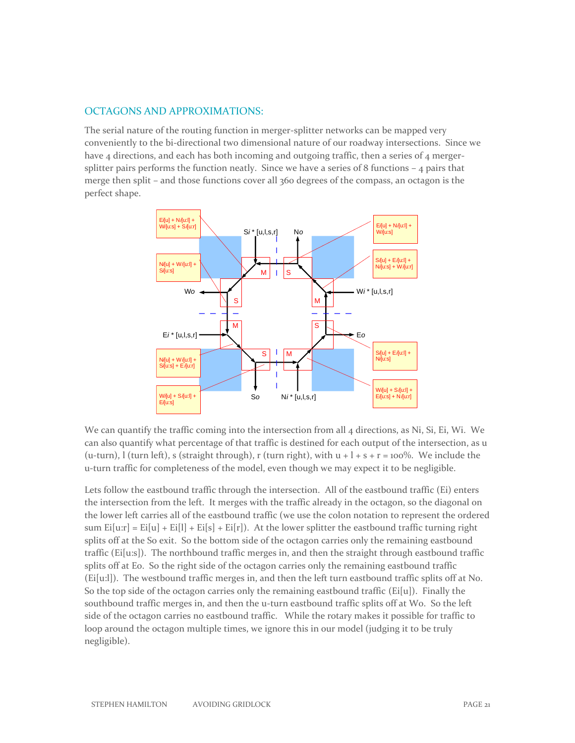#### OCTAGONS AND APPROXIMATIONS:

The serial nature of the routing function in merger-splitter networks can be mapped very conveniently to the bi-directional two dimensional nature of our roadway intersections. Since we have 4 directions, and each has both incoming and outgoing traffic, then a series of 4 mergersplitter pairs performs the function neatly. Since we have a series of 8 functions  $-4$  pairs that merge then split – and those functions cover all 360 degrees of the compass, an octagon is the perfect shape.



We can quantify the traffic coming into the intersection from all 4 directions, as Ni, Si, Ei, Wi. We can also quantify what percentage of that traffic is destined for each output of the intersection, as u (u-turn), l (turn left), s (straight through), r (turn right), with  $u + 1 + s + r = 100\%$ . We include the u-turn traffic for completeness of the model, even though we may expect it to be negligible.

Lets follow the eastbound traffic through the intersection. All of the eastbound traffic (Ei) enters the intersection from the left. It merges with the traffic already in the octagon, so the diagonal on the lower left carries all of the eastbound traffic (we use the colon notation to represent the ordered sum  $Ei[uri] = Ei[u] + Ei[1] + Ei[s] + Ei[r])$ . At the lower splitter the eastbound traffic turning right splits off at the So exit. So the bottom side of the octagon carries only the remaining eastbound traffic (Ei[u:s]). The northbound traffic merges in, and then the straight through eastbound traffic splits off at Eo. So the right side of the octagon carries only the remaining eastbound traffic (Ei[u:l]). The westbound traffic merges in, and then the left turn eastbound traffic splits off at No. So the top side of the octagon carries only the remaining eastbound traffic ( $Ei[u]$ ). Finally the southbound traffic merges in, and then the u-turn eastbound traffic splits off at Wo. So the left side of the octagon carries no eastbound traffic. While the rotary makes it possible for traffic to loop around the octagon multiple times, we ignore this in our model (judging it to be truly negligible).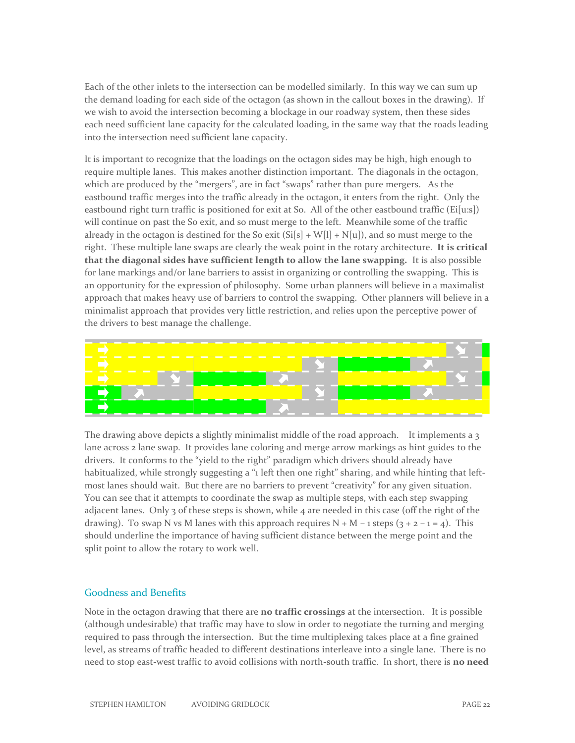Each of the other inlets to the intersection can be modelled similarly. In this way we can sum up the demand loading for each side of the octagon (as shown in the callout boxes in the drawing). If we wish to avoid the intersection becoming a blockage in our roadway system, then these sides each need sufficient lane capacity for the calculated loading, in the same way that the roads leading into the intersection need sufficient lane capacity.

It is important to recognize that the loadings on the octagon sides may be high, high enough to require multiple lanes. This makes another distinction important. The diagonals in the octagon, which are produced by the "mergers", are in fact "swaps" rather than pure mergers. As the eastbound traffic merges into the traffic already in the octagon, it enters from the right. Only the eastbound right turn traffic is positioned for exit at So. All of the other eastbound traffic (Ei[u:s]) will continue on past the So exit, and so must merge to the left. Meanwhile some of the traffic already in the octagon is destined for the So exit  $(Si[s] + W[1] + N[u])$ , and so must merge to the right. These multiple lane swaps are clearly the weak point in the rotary architecture. **It is critical that the diagonal sides have sufficient length to allow the lane swapping.** It is also possible for lane markings and/or lane barriers to assist in organizing or controlling the swapping. This is an opportunity for the expression of philosophy. Some urban planners will believe in a maximalist approach that makes heavy use of barriers to control the swapping. Other planners will believe in a minimalist approach that provides very little restriction, and relies upon the perceptive power of the drivers to best manage the challenge.



The drawing above depicts a slightly minimalist middle of the road approach. It implements a 3 lane across 2 lane swap. It provides lane coloring and merge arrow markings as hint guides to the drivers. It conforms to the "yield to the right" paradigm which drivers should already have habitualized, while strongly suggesting a "1 left then one right" sharing, and while hinting that leftmost lanes should wait. But there are no barriers to prevent "creativity" for any given situation. You can see that it attempts to coordinate the swap as multiple steps, with each step swapping adjacent lanes. Only 3 of these steps is shown, while 4 are needed in this case (off the right of the drawing). To swap N vs M lanes with this approach requires  $N + M - 1$  steps  $(3 + 2 - 1 = 4)$ . This should underline the importance of having sufficient distance between the merge point and the split point to allow the rotary to work well.

#### Goodness and Benefits

Note in the octagon drawing that there are **no traffic crossings** at the intersection. It is possible (although undesirable) that traffic may have to slow in order to negotiate the turning and merging required to pass through the intersection. But the time multiplexing takes place at a fine grained level, as streams of traffic headed to different destinations interleave into a single lane. There is no need to stop east-west traffic to avoid collisions with north-south traffic. In short, there is **no need**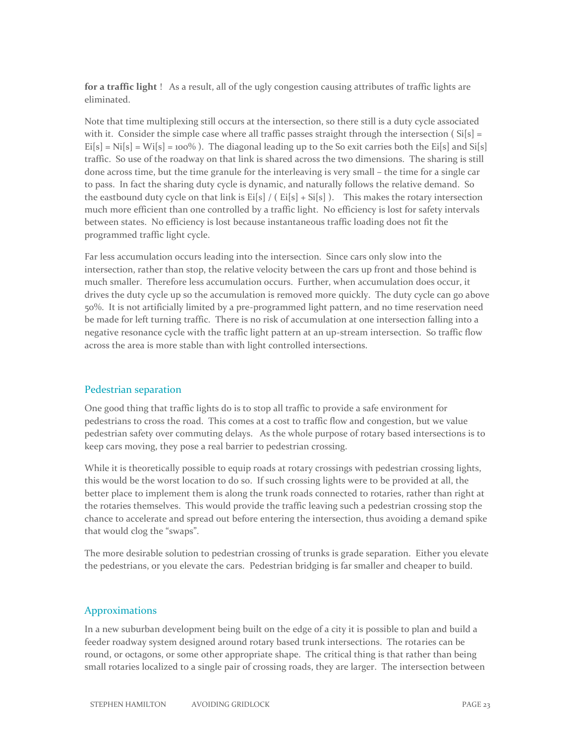**for a traffic light** ! As a result, all of the ugly congestion causing attributes of traffic lights are eliminated.

Note that time multiplexing still occurs at the intersection, so there still is a duty cycle associated with it. Consider the simple case where all traffic passes straight through the intersection ( $Si[s] =$  $Ei[s] = Ni[s] = Wi[s] = 100\%$ ). The diagonal leading up to the So exit carries both the Ei[s] and Si[s] traffic. So use of the roadway on that link is shared across the two dimensions. The sharing is still done across time, but the time granule for the interleaving is very small – the time for a single car to pass. In fact the sharing duty cycle is dynamic, and naturally follows the relative demand. So the eastbound duty cycle on that link is  $E[**s**]/(E[**s**] + S[**s**] ).$  This makes the rotary intersection much more efficient than one controlled by a traffic light. No efficiency is lost for safety intervals between states. No efficiency is lost because instantaneous traffic loading does not fit the programmed traffic light cycle.

Far less accumulation occurs leading into the intersection. Since cars only slow into the intersection, rather than stop, the relative velocity between the cars up front and those behind is much smaller. Therefore less accumulation occurs. Further, when accumulation does occur, it drives the duty cycle up so the accumulation is removed more quickly. The duty cycle can go above 50%. It is not artificially limited by a pre-programmed light pattern, and no time reservation need be made for left turning traffic. There is no risk of accumulation at one intersection falling into a negative resonance cycle with the traffic light pattern at an up-stream intersection. So traffic flow across the area is more stable than with light controlled intersections.

#### Pedestrian separation

One good thing that traffic lights do is to stop all traffic to provide a safe environment for pedestrians to cross the road. This comes at a cost to traffic flow and congestion, but we value pedestrian safety over commuting delays. As the whole purpose of rotary based intersections is to keep cars moving, they pose a real barrier to pedestrian crossing.

While it is theoretically possible to equip roads at rotary crossings with pedestrian crossing lights, this would be the worst location to do so. If such crossing lights were to be provided at all, the better place to implement them is along the trunk roads connected to rotaries, rather than right at the rotaries themselves. This would provide the traffic leaving such a pedestrian crossing stop the chance to accelerate and spread out before entering the intersection, thus avoiding a demand spike that would clog the "swaps".

The more desirable solution to pedestrian crossing of trunks is grade separation. Either you elevate the pedestrians, or you elevate the cars. Pedestrian bridging is far smaller and cheaper to build.

#### Approximations

In a new suburban development being built on the edge of a city it is possible to plan and build a feeder roadway system designed around rotary based trunk intersections. The rotaries can be round, or octagons, or some other appropriate shape. The critical thing is that rather than being small rotaries localized to a single pair of crossing roads, they are larger. The intersection between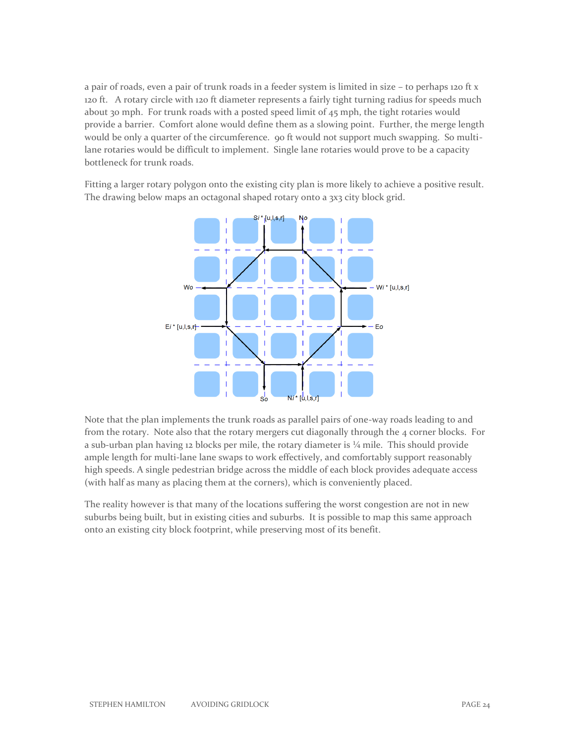a pair of roads, even a pair of trunk roads in a feeder system is limited in size – to perhaps 120 ft x 120 ft. A rotary circle with 120 ft diameter represents a fairly tight turning radius for speeds much about 30 mph. For trunk roads with a posted speed limit of 45 mph, the tight rotaries would provide a barrier. Comfort alone would define them as a slowing point. Further, the merge length would be only a quarter of the circumference. 90 ft would not support much swapping. So multilane rotaries would be difficult to implement. Single lane rotaries would prove to be a capacity bottleneck for trunk roads.

Fitting a larger rotary polygon onto the existing city plan is more likely to achieve a positive result. The drawing below maps an octagonal shaped rotary onto a 3x3 city block grid.



Note that the plan implements the trunk roads as parallel pairs of one-way roads leading to and from the rotary. Note also that the rotary mergers cut diagonally through the 4 corner blocks. For a sub-urban plan having 12 blocks per mile, the rotary diameter is  $\frac{1}{4}$  mile. This should provide ample length for multi-lane lane swaps to work effectively, and comfortably support reasonably high speeds. A single pedestrian bridge across the middle of each block provides adequate access (with half as many as placing them at the corners), which is conveniently placed.

The reality however is that many of the locations suffering the worst congestion are not in new suburbs being built, but in existing cities and suburbs. It is possible to map this same approach onto an existing city block footprint, while preserving most of its benefit.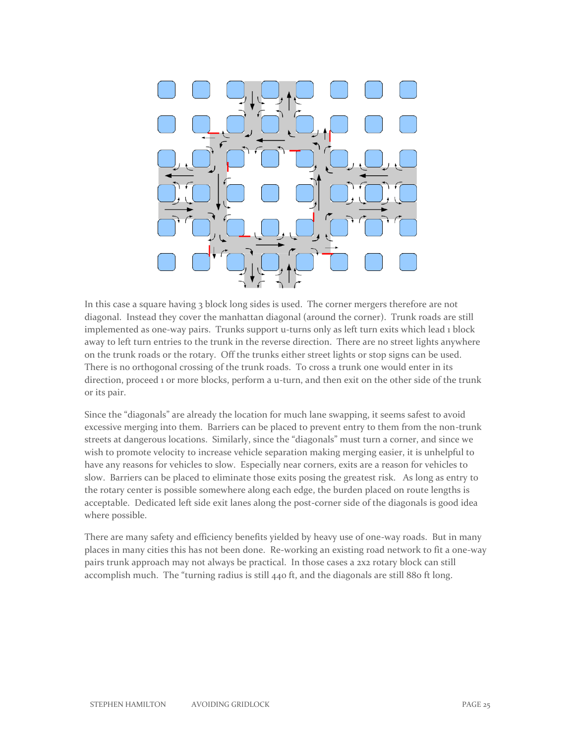

In this case a square having 3 block long sides is used. The corner mergers therefore are not diagonal. Instead they cover the manhattan diagonal (around the corner). Trunk roads are still implemented as one-way pairs. Trunks support u-turns only as left turn exits which lead 1 block away to left turn entries to the trunk in the reverse direction. There are no street lights anywhere on the trunk roads or the rotary. Off the trunks either street lights or stop signs can be used. There is no orthogonal crossing of the trunk roads. To cross a trunk one would enter in its direction, proceed 1 or more blocks, perform a u-turn, and then exit on the other side of the trunk or its pair.

Since the "diagonals" are already the location for much lane swapping, it seems safest to avoid excessive merging into them. Barriers can be placed to prevent entry to them from the non-trunk streets at dangerous locations. Similarly, since the "diagonals" must turn a corner, and since we wish to promote velocity to increase vehicle separation making merging easier, it is unhelpful to have any reasons for vehicles to slow. Especially near corners, exits are a reason for vehicles to slow. Barriers can be placed to eliminate those exits posing the greatest risk. As long as entry to the rotary center is possible somewhere along each edge, the burden placed on route lengths is acceptable. Dedicated left side exit lanes along the post-corner side of the diagonals is good idea where possible.

There are many safety and efficiency benefits yielded by heavy use of one-way roads. But in many places in many cities this has not been done. Re-working an existing road network to fit a one-way pairs trunk approach may not always be practical. In those cases a 2x2 rotary block can still accomplish much. The "turning radius is still 440 ft, and the diagonals are still 880 ft long.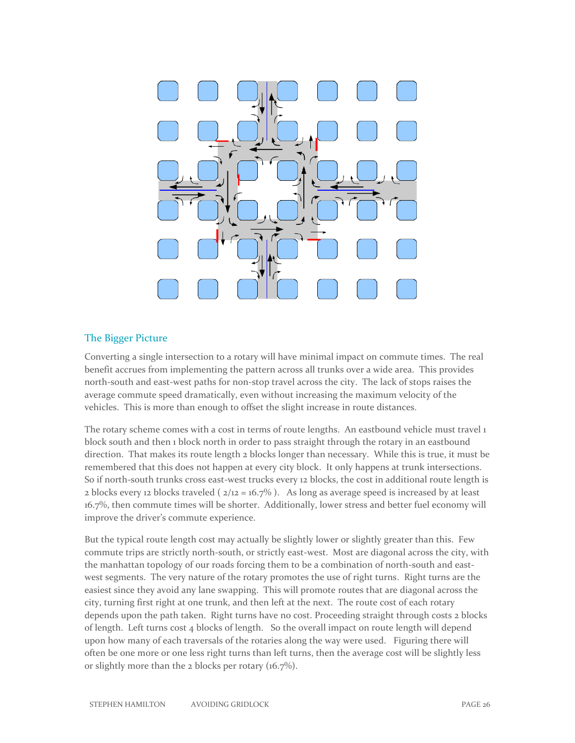

#### The Bigger Picture

Converting a single intersection to a rotary will have minimal impact on commute times. The real benefit accrues from implementing the pattern across all trunks over a wide area. This provides north-south and east-west paths for non-stop travel across the city. The lack of stops raises the average commute speed dramatically, even without increasing the maximum velocity of the vehicles. This is more than enough to offset the slight increase in route distances.

The rotary scheme comes with a cost in terms of route lengths. An eastbound vehicle must travel 1 block south and then 1 block north in order to pass straight through the rotary in an eastbound direction. That makes its route length 2 blocks longer than necessary. While this is true, it must be remembered that this does not happen at every city block. It only happens at trunk intersections. So if north-south trunks cross east-west trucks every 12 blocks, the cost in additional route length is 2 blocks every 12 blocks traveled ( $2/12 = 16.7\%$ ). As long as average speed is increased by at least 16.7%, then commute times will be shorter. Additionally, lower stress and better fuel economy will improve the driver's commute experience.

But the typical route length cost may actually be slightly lower or slightly greater than this. Few commute trips are strictly north-south, or strictly east-west. Most are diagonal across the city, with the manhattan topology of our roads forcing them to be a combination of north-south and eastwest segments. The very nature of the rotary promotes the use of right turns. Right turns are the easiest since they avoid any lane swapping. This will promote routes that are diagonal across the city, turning first right at one trunk, and then left at the next. The route cost of each rotary depends upon the path taken. Right turns have no cost. Proceeding straight through costs 2 blocks of length. Left turns cost 4 blocks of length. So the overall impact on route length will depend upon how many of each traversals of the rotaries along the way were used. Figuring there will often be one more or one less right turns than left turns, then the average cost will be slightly less or slightly more than the 2 blocks per rotary (16.7%).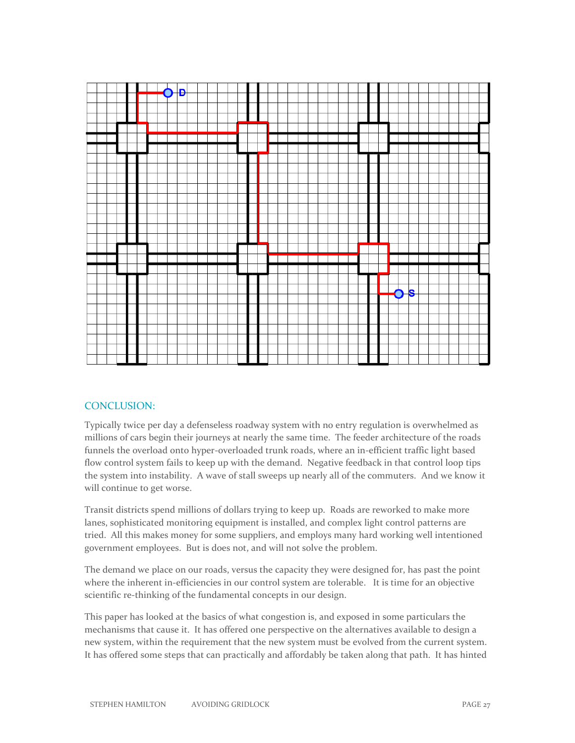

#### CONCLUSION:

Typically twice per day a defenseless roadway system with no entry regulation is overwhelmed as millions of cars begin their journeys at nearly the same time. The feeder architecture of the roads funnels the overload onto hyper-overloaded trunk roads, where an in-efficient traffic light based flow control system fails to keep up with the demand. Negative feedback in that control loop tips the system into instability. A wave of stall sweeps up nearly all of the commuters. And we know it will continue to get worse.

Transit districts spend millions of dollars trying to keep up. Roads are reworked to make more lanes, sophisticated monitoring equipment is installed, and complex light control patterns are tried. All this makes money for some suppliers, and employs many hard working well intentioned government employees. But is does not, and will not solve the problem.

The demand we place on our roads, versus the capacity they were designed for, has past the point where the inherent in-efficiencies in our control system are tolerable. It is time for an objective scientific re-thinking of the fundamental concepts in our design.

This paper has looked at the basics of what congestion is, and exposed in some particulars the mechanisms that cause it. It has offered one perspective on the alternatives available to design a new system, within the requirement that the new system must be evolved from the current system. It has offered some steps that can practically and affordably be taken along that path. It has hinted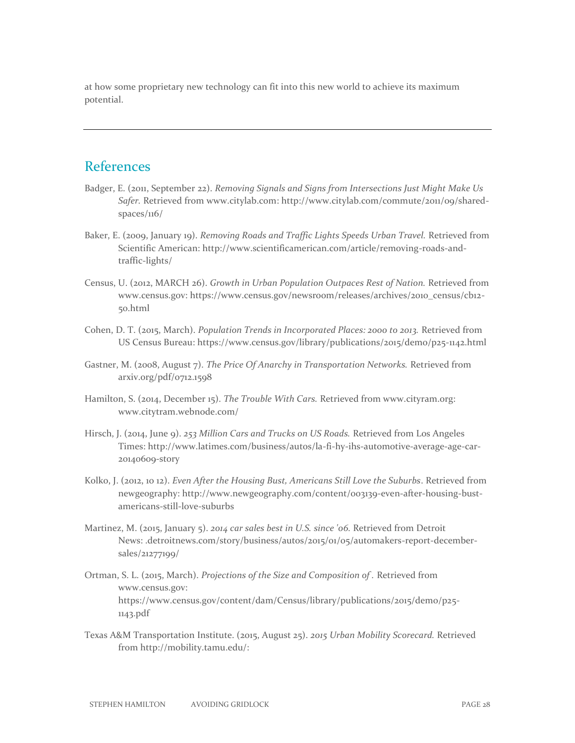at how some proprietary new technology can fit into this new world to achieve its maximum potential.

## **References**

- Badger, E. (2011, September 22). *Removing Signals and Signs from Intersections Just Might Make Us Safer.* Retrieved from www.citylab.com: http://www.citylab.com/commute/2011/09/sharedspaces/116/
- Baker, E. (2009, January 19). *Removing Roads and Traffic Lights Speeds Urban Travel.* Retrieved from Scientific American: http://www.scientificamerican.com/article/removing-roads-andtraffic-lights/
- Census, U. (2012, MARCH 26). *Growth in Urban Population Outpaces Rest of Nation.* Retrieved from www.census.gov: https://www.census.gov/newsroom/releases/archives/2010\_census/cb12- 50.html
- Cohen, D. T. (2015, March). *Population Trends in Incorporated Places: 2000 to 2013.* Retrieved from US Census Bureau: https://www.census.gov/library/publications/2015/demo/p25-1142.html
- Gastner, M. (2008, August 7). *The Price Of Anarchy in Transportation Networks.* Retrieved from arxiv.org/pdf/0712.1598
- Hamilton, S. (2014, December 15). *The Trouble With Cars.* Retrieved from www.cityram.org: www.citytram.webnode.com/
- Hirsch, J. (2014, June 9). *253 Million Cars and Trucks on US Roads.* Retrieved from Los Angeles Times: http://www.latimes.com/business/autos/la-fi-hy-ihs-automotive-average-age-car-20140609-story
- Kolko, J. (2012, 10 12). *Even After the Housing Bust, Americans Still Love the Suburbs*. Retrieved from newgeography: http://www.newgeography.com/content/003139-even-after-housing-bustamericans-still-love-suburbs
- Martinez, M. (2015, January 5). *2014 car sales best in U.S. since '06.* Retrieved from Detroit News: .detroitnews.com/story/business/autos/2015/01/05/automakers-report-decembersales/21277199/
- Ortman, S. L. (2015, March). *Projections of the Size and Composition of .* Retrieved from www.census.gov: https://www.census.gov/content/dam/Census/library/publications/2015/demo/p25- 1143.pdf
- Texas A&M Transportation Institute. (2015, August 25). *2015 Urban Mobility Scorecard.* Retrieved from http://mobility.tamu.edu/: